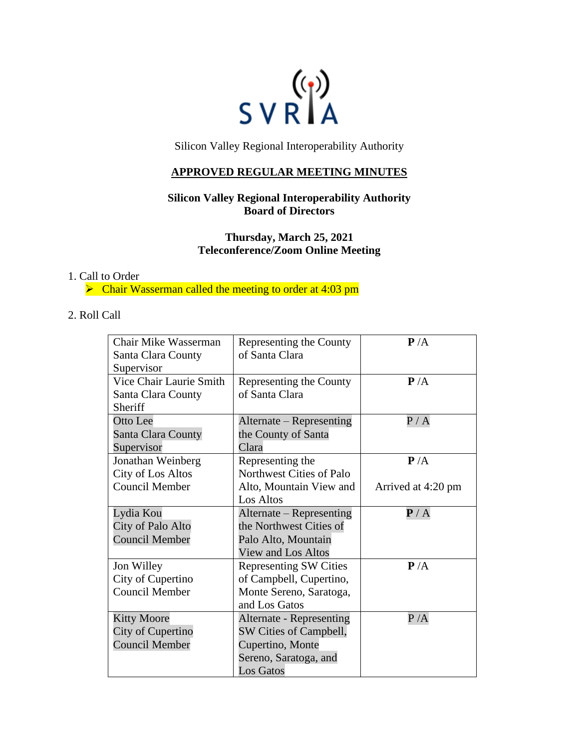

Silicon Valley Regional Interoperability Authority

# **APPROVED REGULAR MEETING MINUTES**

# **Silicon Valley Regional Interoperability Authority Board of Directors**

**Thursday, March 25, 2021 Teleconference/Zoom Online Meeting**

#### 1. Call to Order

➢ Chair Wasserman called the meeting to order at 4:03 pm

# 2. Roll Call

| Chair Mike Wasserman    | Representing the County       | P/A                       |
|-------------------------|-------------------------------|---------------------------|
| Santa Clara County      | of Santa Clara                |                           |
| Supervisor              |                               |                           |
| Vice Chair Laurie Smith | Representing the County       | P/A                       |
| Santa Clara County      | of Santa Clara                |                           |
| Sheriff                 |                               |                           |
| Otto Lee                | Alternate – Representing      | P/A                       |
| Santa Clara County      | the County of Santa           |                           |
| Supervisor              | Clara                         |                           |
| Jonathan Weinberg       | Representing the              | P/A                       |
| City of Los Altos       | Northwest Cities of Palo      |                           |
| <b>Council Member</b>   | Alto, Mountain View and       | Arrived at 4:20 pm        |
|                         | Los Altos                     |                           |
| Lydia Kou               | Alternate – Representing      | $\mathbf{P}/\,\mathrm{A}$ |
| City of Palo Alto       | the Northwest Cities of       |                           |
| <b>Council Member</b>   | Palo Alto, Mountain           |                           |
|                         | View and Los Altos            |                           |
| Jon Willey              | <b>Representing SW Cities</b> | P/A                       |
| City of Cupertino       | of Campbell, Cupertino,       |                           |
| <b>Council Member</b>   | Monte Sereno, Saratoga,       |                           |
|                         | and Los Gatos                 |                           |
| <b>Kitty Moore</b>      | Alternate - Representing      | P/A                       |
| City of Cupertino       | SW Cities of Campbell,        |                           |
| <b>Council Member</b>   | Cupertino, Monte              |                           |
|                         | Sereno, Saratoga, and         |                           |
|                         | <b>Los Gatos</b>              |                           |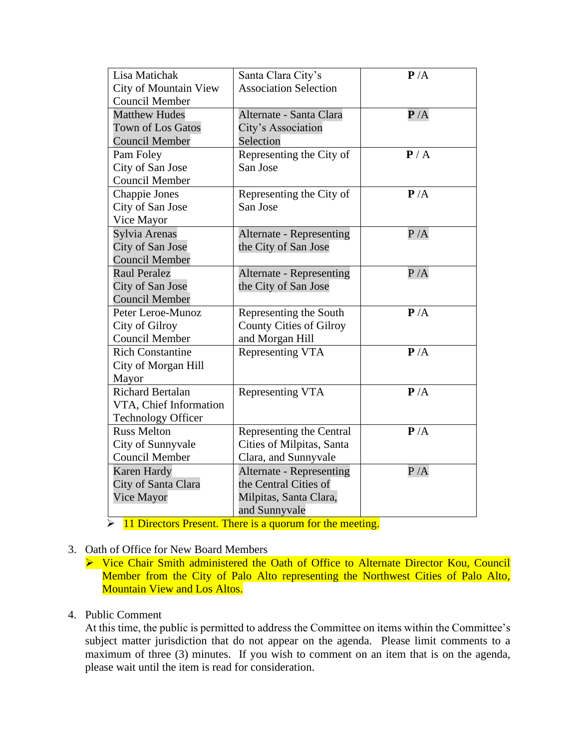| Lisa Matichak                                  | Santa Clara City's              | P/A |
|------------------------------------------------|---------------------------------|-----|
| City of Mountain View<br><b>Council Member</b> | <b>Association Selection</b>    |     |
| <b>Matthew Hudes</b>                           | Alternate - Santa Clara         | P/A |
| <b>Town of Los Gatos</b>                       | City's Association              |     |
| <b>Council Member</b>                          | Selection                       |     |
| Pam Foley                                      | Representing the City of        | P/A |
| City of San Jose                               | San Jose                        |     |
| Council Member                                 |                                 |     |
| Chappie Jones                                  | Representing the City of        | P/A |
| City of San Jose                               | San Jose                        |     |
| Vice Mayor                                     |                                 |     |
| Sylvia Arenas                                  | <b>Alternate - Representing</b> | P/A |
| City of San Jose                               | the City of San Jose            |     |
| <b>Council Member</b>                          |                                 |     |
| <b>Raul Peralez</b>                            | Alternate - Representing        | P/A |
| City of San Jose                               | the City of San Jose            |     |
| <b>Council Member</b>                          |                                 |     |
| Peter Leroe-Munoz                              | Representing the South          | P/A |
| City of Gilroy                                 | <b>County Cities of Gilroy</b>  |     |
| <b>Council Member</b>                          | and Morgan Hill                 |     |
| <b>Rich Constantine</b>                        | Representing VTA                | P/A |
| City of Morgan Hill                            |                                 |     |
| Mayor                                          |                                 |     |
| <b>Richard Bertalan</b>                        | Representing VTA                | P/A |
| VTA, Chief Information                         |                                 |     |
| <b>Technology Officer</b>                      |                                 |     |
| <b>Russ Melton</b>                             | Representing the Central        | P/A |
| City of Sunnyvale                              | Cities of Milpitas, Santa       |     |
| Council Member                                 | Clara, and Sunnyvale            |     |
| <b>Karen Hardy</b>                             | Alternate - Representing        | P/A |
| City of Santa Clara                            | the Central Cities of           |     |
| Vice Mayor                                     | Milpitas, Santa Clara,          |     |
|                                                | and Sunnyvale                   |     |

 $\triangleright$  11 Directors Present. There is a quorum for the meeting.

#### 3. Oath of Office for New Board Members

➢ Vice Chair Smith administered the Oath of Office to Alternate Director Kou, Council Member from the City of Palo Alto representing the Northwest Cities of Palo Alto, Mountain View and Los Altos.

# 4. Public Comment

At this time, the public is permitted to address the Committee on items within the Committee's subject matter jurisdiction that do not appear on the agenda. Please limit comments to a maximum of three (3) minutes. If you wish to comment on an item that is on the agenda, please wait until the item is read for consideration.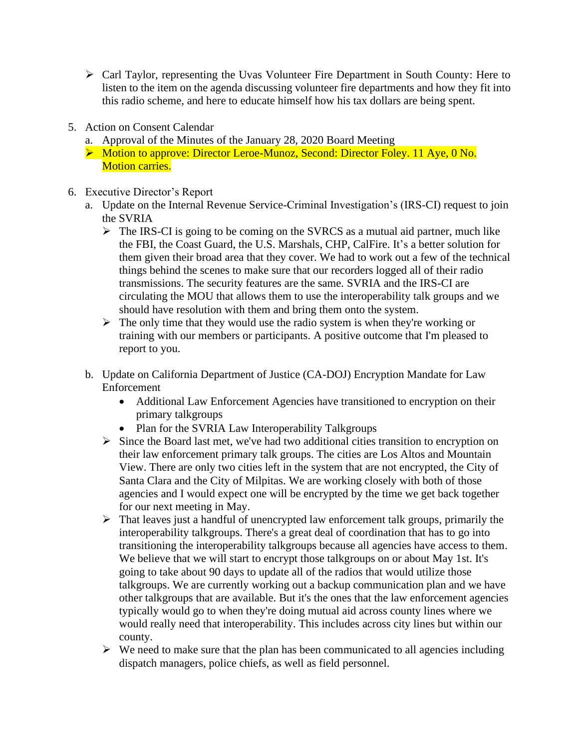- ➢ Carl Taylor, representing the Uvas Volunteer Fire Department in South County: Here to listen to the item on the agenda discussing volunteer fire departments and how they fit into this radio scheme, and here to educate himself how his tax dollars are being spent.
- 5. Action on Consent Calendar
	- a. Approval of the Minutes of the January 28, 2020 Board Meeting
	- ➢ Motion to approve: Director Leroe-Munoz, Second: Director Foley. 11 Aye, 0 No. **Motion carries.**
- 6. Executive Director's Report
	- a. Update on the Internal Revenue Service-Criminal Investigation's (IRS-CI) request to join the SVRIA
		- $\triangleright$  The IRS-CI is going to be coming on the SVRCS as a mutual aid partner, much like the FBI, the Coast Guard, the U.S. Marshals, CHP, CalFire. It's a better solution for them given their broad area that they cover. We had to work out a few of the technical things behind the scenes to make sure that our recorders logged all of their radio transmissions. The security features are the same. SVRIA and the IRS-CI are circulating the MOU that allows them to use the interoperability talk groups and we should have resolution with them and bring them onto the system.
		- $\triangleright$  The only time that they would use the radio system is when they're working or training with our members or participants. A positive outcome that I'm pleased to report to you.
	- b. Update on California Department of Justice (CA-DOJ) Encryption Mandate for Law Enforcement
		- Additional Law Enforcement Agencies have transitioned to encryption on their primary talkgroups
		- Plan for the SVRIA Law Interoperability Talkgroups
		- ➢ Since the Board last met, we've had two additional cities transition to encryption on their law enforcement primary talk groups. The cities are Los Altos and Mountain View. There are only two cities left in the system that are not encrypted, the City of Santa Clara and the City of Milpitas. We are working closely with both of those agencies and I would expect one will be encrypted by the time we get back together for our next meeting in May.
		- $\triangleright$  That leaves just a handful of unencrypted law enforcement talk groups, primarily the interoperability talkgroups. There's a great deal of coordination that has to go into transitioning the interoperability talkgroups because all agencies have access to them. We believe that we will start to encrypt those talkgroups on or about May 1st. It's going to take about 90 days to update all of the radios that would utilize those talkgroups. We are currently working out a backup communication plan and we have other talkgroups that are available. But it's the ones that the law enforcement agencies typically would go to when they're doing mutual aid across county lines where we would really need that interoperability. This includes across city lines but within our county.
		- $\triangleright$  We need to make sure that the plan has been communicated to all agencies including dispatch managers, police chiefs, as well as field personnel.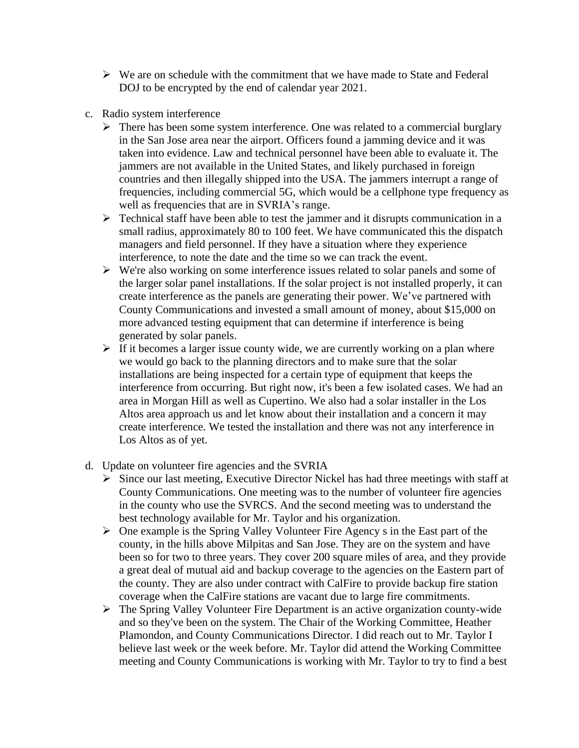- $\triangleright$  We are on schedule with the commitment that we have made to State and Federal DOJ to be encrypted by the end of calendar year 2021.
- c. Radio system interference
	- ➢ There has been some system interference. One was related to a commercial burglary in the San Jose area near the airport. Officers found a jamming device and it was taken into evidence. Law and technical personnel have been able to evaluate it. The jammers are not available in the United States, and likely purchased in foreign countries and then illegally shipped into the USA. The jammers interrupt a range of frequencies, including commercial 5G, which would be a cellphone type frequency as well as frequencies that are in SVRIA's range.
	- $\triangleright$  Technical staff have been able to test the jammer and it disrupts communication in a small radius, approximately 80 to 100 feet. We have communicated this the dispatch managers and field personnel. If they have a situation where they experience interference, to note the date and the time so we can track the event.
	- ➢ We're also working on some interference issues related to solar panels and some of the larger solar panel installations. If the solar project is not installed properly, it can create interference as the panels are generating their power. We've partnered with County Communications and invested a small amount of money, about \$15,000 on more advanced testing equipment that can determine if interference is being generated by solar panels.
	- $\triangleright$  If it becomes a larger issue county wide, we are currently working on a plan where we would go back to the planning directors and to make sure that the solar installations are being inspected for a certain type of equipment that keeps the interference from occurring. But right now, it's been a few isolated cases. We had an area in Morgan Hill as well as Cupertino. We also had a solar installer in the Los Altos area approach us and let know about their installation and a concern it may create interference. We tested the installation and there was not any interference in Los Altos as of yet.
- d. Update on volunteer fire agencies and the SVRIA
	- ➢ Since our last meeting, Executive Director Nickel has had three meetings with staff at County Communications. One meeting was to the number of volunteer fire agencies in the county who use the SVRCS. And the second meeting was to understand the best technology available for Mr. Taylor and his organization.
	- ➢ One example is the Spring Valley Volunteer Fire Agency s in the East part of the county, in the hills above Milpitas and San Jose. They are on the system and have been so for two to three years. They cover 200 square miles of area, and they provide a great deal of mutual aid and backup coverage to the agencies on the Eastern part of the county. They are also under contract with CalFire to provide backup fire station coverage when the CalFire stations are vacant due to large fire commitments.
	- ➢ The Spring Valley Volunteer Fire Department is an active organization county-wide and so they've been on the system. The Chair of the Working Committee, Heather Plamondon, and County Communications Director. I did reach out to Mr. Taylor I believe last week or the week before. Mr. Taylor did attend the Working Committee meeting and County Communications is working with Mr. Taylor to try to find a best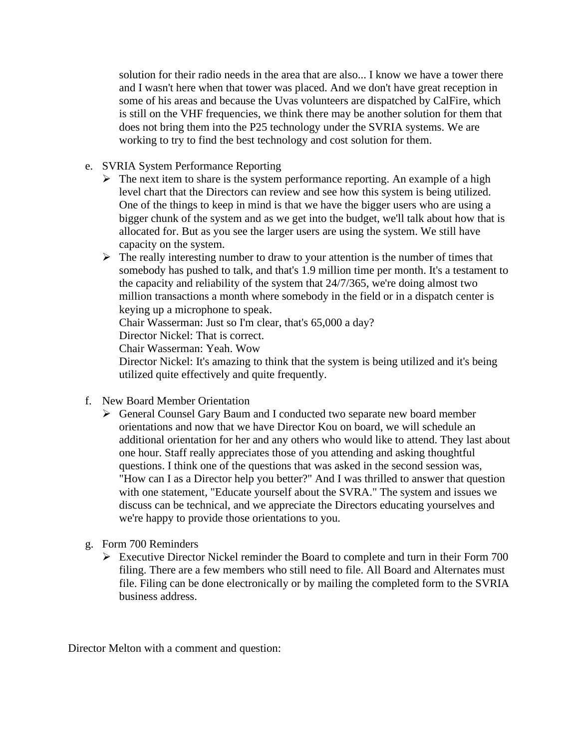solution for their radio needs in the area that are also... I know we have a tower there and I wasn't here when that tower was placed. And we don't have great reception in some of his areas and because the Uvas volunteers are dispatched by CalFire, which is still on the VHF frequencies, we think there may be another solution for them that does not bring them into the P25 technology under the SVRIA systems. We are working to try to find the best technology and cost solution for them.

- e. SVRIA System Performance Reporting
	- ➢ The next item to share is the system performance reporting. An example of a high level chart that the Directors can review and see how this system is being utilized. One of the things to keep in mind is that we have the bigger users who are using a bigger chunk of the system and as we get into the budget, we'll talk about how that is allocated for. But as you see the larger users are using the system. We still have capacity on the system.
	- $\triangleright$  The really interesting number to draw to your attention is the number of times that somebody has pushed to talk, and that's 1.9 million time per month. It's a testament to the capacity and reliability of the system that 24/7/365, we're doing almost two million transactions a month where somebody in the field or in a dispatch center is keying up a microphone to speak.

Chair Wasserman: Just so I'm clear, that's 65,000 a day?

Director Nickel: That is correct.

Chair Wasserman: Yeah. Wow

Director Nickel: It's amazing to think that the system is being utilized and it's being utilized quite effectively and quite frequently.

- f. New Board Member Orientation
	- ➢ General Counsel Gary Baum and I conducted two separate new board member orientations and now that we have Director Kou on board, we will schedule an additional orientation for her and any others who would like to attend. They last about one hour. Staff really appreciates those of you attending and asking thoughtful questions. I think one of the questions that was asked in the second session was, "How can I as a Director help you better?" And I was thrilled to answer that question with one statement, "Educate yourself about the SVRA." The system and issues we discuss can be technical, and we appreciate the Directors educating yourselves and we're happy to provide those orientations to you.
- g. Form 700 Reminders
	- $\triangleright$  Executive Director Nickel reminder the Board to complete and turn in their Form 700 filing. There are a few members who still need to file. All Board and Alternates must file. Filing can be done electronically or by mailing the completed form to the SVRIA business address.

Director Melton with a comment and question: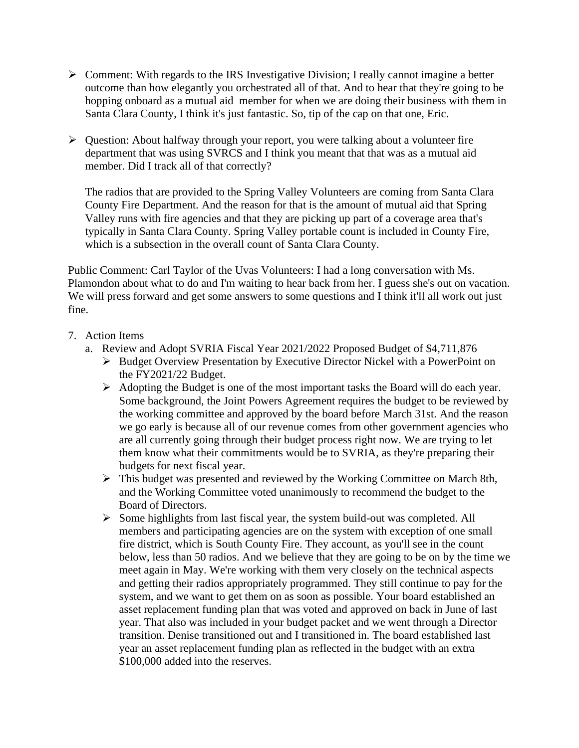- ➢ Comment: With regards to the IRS Investigative Division; I really cannot imagine a better outcome than how elegantly you orchestrated all of that. And to hear that they're going to be hopping onboard as a mutual aid member for when we are doing their business with them in Santa Clara County, I think it's just fantastic. So, tip of the cap on that one, Eric.
- ➢ Question: About halfway through your report, you were talking about a volunteer fire department that was using SVRCS and I think you meant that that was as a mutual aid member. Did I track all of that correctly?

The radios that are provided to the Spring Valley Volunteers are coming from Santa Clara County Fire Department. And the reason for that is the amount of mutual aid that Spring Valley runs with fire agencies and that they are picking up part of a coverage area that's typically in Santa Clara County. Spring Valley portable count is included in County Fire, which is a subsection in the overall count of Santa Clara County.

Public Comment: Carl Taylor of the Uvas Volunteers: I had a long conversation with Ms. Plamondon about what to do and I'm waiting to hear back from her. I guess she's out on vacation. We will press forward and get some answers to some questions and I think it'll all work out just fine.

- 7. Action Items
	- a. Review and Adopt SVRIA Fiscal Year 2021/2022 Proposed Budget of \$4,711,876
		- ➢ Budget Overview Presentation by Executive Director Nickel with a PowerPoint on the FY2021/22 Budget.
		- ➢ Adopting the Budget is one of the most important tasks the Board will do each year. Some background, the Joint Powers Agreement requires the budget to be reviewed by the working committee and approved by the board before March 31st. And the reason we go early is because all of our revenue comes from other government agencies who are all currently going through their budget process right now. We are trying to let them know what their commitments would be to SVRIA, as they're preparing their budgets for next fiscal year.
		- ➢ This budget was presented and reviewed by the Working Committee on March 8th, and the Working Committee voted unanimously to recommend the budget to the Board of Directors.
		- ➢ Some highlights from last fiscal year, the system build-out was completed. All members and participating agencies are on the system with exception of one small fire district, which is South County Fire. They account, as you'll see in the count below, less than 50 radios. And we believe that they are going to be on by the time we meet again in May. We're working with them very closely on the technical aspects and getting their radios appropriately programmed. They still continue to pay for the system, and we want to get them on as soon as possible. Your board established an asset replacement funding plan that was voted and approved on back in June of last year. That also was included in your budget packet and we went through a Director transition. Denise transitioned out and I transitioned in. The board established last year an asset replacement funding plan as reflected in the budget with an extra \$100,000 added into the reserves.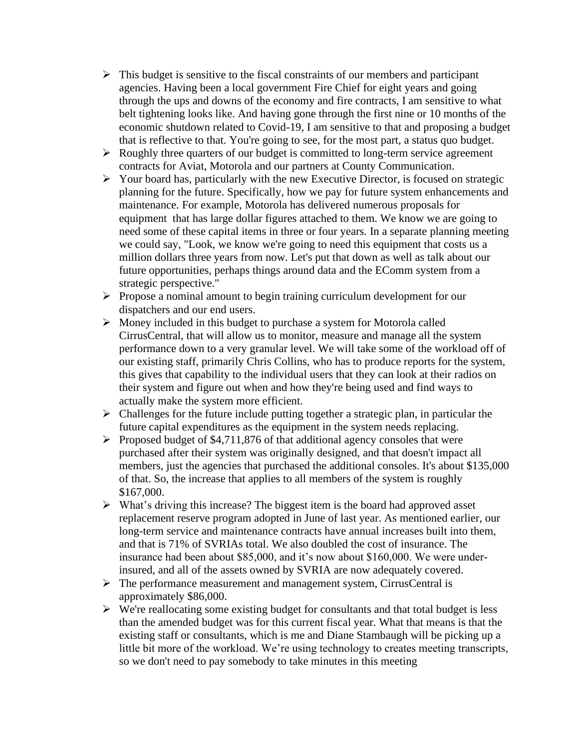- $\triangleright$  This budget is sensitive to the fiscal constraints of our members and participant agencies. Having been a local government Fire Chief for eight years and going through the ups and downs of the economy and fire contracts, I am sensitive to what belt tightening looks like. And having gone through the first nine or 10 months of the economic shutdown related to Covid-19, I am sensitive to that and proposing a budget that is reflective to that. You're going to see, for the most part, a status quo budget.
- ➢ Roughly three quarters of our budget is committed to long-term service agreement contracts for Aviat, Motorola and our partners at County Communication.
- ➢ Your board has, particularly with the new Executive Director, is focused on strategic planning for the future. Specifically, how we pay for future system enhancements and maintenance. For example, Motorola has delivered numerous proposals for equipment that has large dollar figures attached to them. We know we are going to need some of these capital items in three or four years. In a separate planning meeting we could say, "Look, we know we're going to need this equipment that costs us a million dollars three years from now. Let's put that down as well as talk about our future opportunities, perhaps things around data and the EComm system from a strategic perspective."
- ➢ Propose a nominal amount to begin training curriculum development for our dispatchers and our end users.
- ➢ Money included in this budget to purchase a system for Motorola called CirrusCentral, that will allow us to monitor, measure and manage all the system performance down to a very granular level. We will take some of the workload off of our existing staff, primarily Chris Collins, who has to produce reports for the system, this gives that capability to the individual users that they can look at their radios on their system and figure out when and how they're being used and find ways to actually make the system more efficient.
- $\triangleright$  Challenges for the future include putting together a strategic plan, in particular the future capital expenditures as the equipment in the system needs replacing.
- ➢ Proposed budget of \$4,711,876 of that additional agency consoles that were purchased after their system was originally designed, and that doesn't impact all members, just the agencies that purchased the additional consoles. It's about \$135,000 of that. So, the increase that applies to all members of the system is roughly \$167,000.
- ➢ What's driving this increase? The biggest item is the board had approved asset replacement reserve program adopted in June of last year. As mentioned earlier, our long-term service and maintenance contracts have annual increases built into them, and that is 71% of SVRIAs total. We also doubled the cost of insurance. The insurance had been about \$85,000, and it's now about \$160,000. We were underinsured, and all of the assets owned by SVRIA are now adequately covered.
- ➢ The performance measurement and management system, CirrusCentral is approximately \$86,000.
- $\triangleright$  We're reallocating some existing budget for consultants and that total budget is less than the amended budget was for this current fiscal year. What that means is that the existing staff or consultants, which is me and Diane Stambaugh will be picking up a little bit more of the workload. We're using technology to creates meeting transcripts, so we don't need to pay somebody to take minutes in this meeting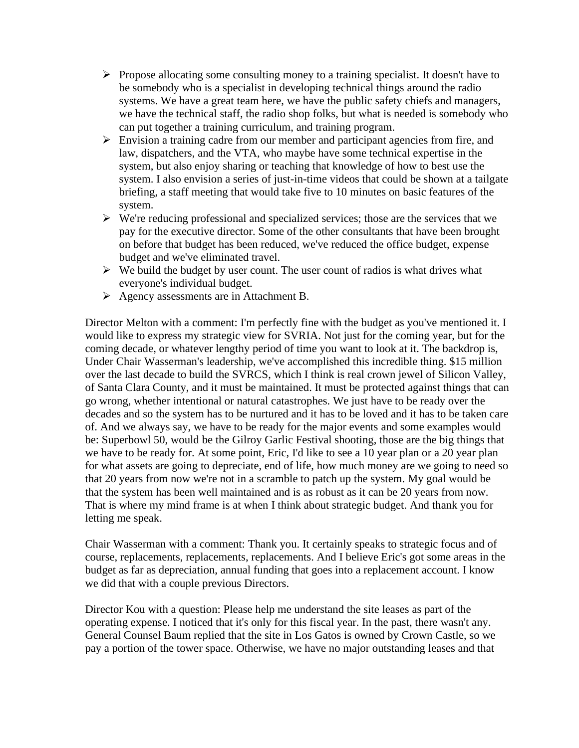- $\triangleright$  Propose allocating some consulting money to a training specialist. It doesn't have to be somebody who is a specialist in developing technical things around the radio systems. We have a great team here, we have the public safety chiefs and managers, we have the technical staff, the radio shop folks, but what is needed is somebody who can put together a training curriculum, and training program.
- ➢ Envision a training cadre from our member and participant agencies from fire, and law, dispatchers, and the VTA, who maybe have some technical expertise in the system, but also enjoy sharing or teaching that knowledge of how to best use the system. I also envision a series of just-in-time videos that could be shown at a tailgate briefing, a staff meeting that would take five to 10 minutes on basic features of the system.
- ➢ We're reducing professional and specialized services; those are the services that we pay for the executive director. Some of the other consultants that have been brought on before that budget has been reduced, we've reduced the office budget, expense budget and we've eliminated travel.
- $\triangleright$  We build the budget by user count. The user count of radios is what drives what everyone's individual budget.
- ➢ Agency assessments are in Attachment B.

Director Melton with a comment: I'm perfectly fine with the budget as you've mentioned it. I would like to express my strategic view for SVRIA. Not just for the coming year, but for the coming decade, or whatever lengthy period of time you want to look at it. The backdrop is, Under Chair Wasserman's leadership, we've accomplished this incredible thing. \$15 million over the last decade to build the SVRCS, which I think is real crown jewel of Silicon Valley, of Santa Clara County, and it must be maintained. It must be protected against things that can go wrong, whether intentional or natural catastrophes. We just have to be ready over the decades and so the system has to be nurtured and it has to be loved and it has to be taken care of. And we always say, we have to be ready for the major events and some examples would be: Superbowl 50, would be the Gilroy Garlic Festival shooting, those are the big things that we have to be ready for. At some point, Eric, I'd like to see a 10 year plan or a 20 year plan for what assets are going to depreciate, end of life, how much money are we going to need so that 20 years from now we're not in a scramble to patch up the system. My goal would be that the system has been well maintained and is as robust as it can be 20 years from now. That is where my mind frame is at when I think about strategic budget. And thank you for letting me speak.

Chair Wasserman with a comment: Thank you. It certainly speaks to strategic focus and of course, replacements, replacements, replacements. And I believe Eric's got some areas in the budget as far as depreciation, annual funding that goes into a replacement account. I know we did that with a couple previous Directors.

Director Kou with a question: Please help me understand the site leases as part of the operating expense. I noticed that it's only for this fiscal year. In the past, there wasn't any. General Counsel Baum replied that the site in Los Gatos is owned by Crown Castle, so we pay a portion of the tower space. Otherwise, we have no major outstanding leases and that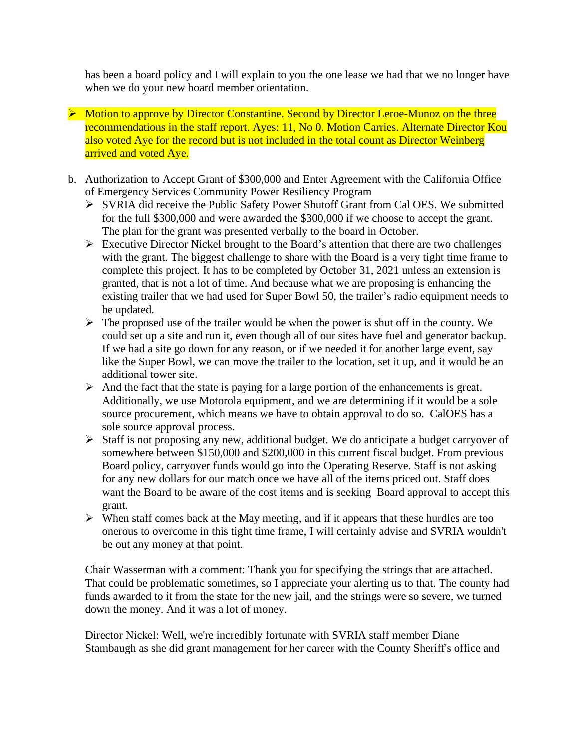has been a board policy and I will explain to you the one lease we had that we no longer have when we do your new board member orientation.

- ➢ Motion to approve by Director Constantine. Second by Director Leroe-Munoz on the three recommendations in the staff report. Ayes: 11, No 0. Motion Carries. Alternate Director Kou also voted Aye for the record but is not included in the total count as Director Weinberg arrived and voted Aye.
- b. Authorization to Accept Grant of \$300,000 and Enter Agreement with the California Office of Emergency Services Community Power Resiliency Program
	- ➢ SVRIA did receive the Public Safety Power Shutoff Grant from Cal OES. We submitted for the full \$300,000 and were awarded the \$300,000 if we choose to accept the grant. The plan for the grant was presented verbally to the board in October.
	- ➢ Executive Director Nickel brought to the Board's attention that there are two challenges with the grant. The biggest challenge to share with the Board is a very tight time frame to complete this project. It has to be completed by October 31, 2021 unless an extension is granted, that is not a lot of time. And because what we are proposing is enhancing the existing trailer that we had used for Super Bowl 50, the trailer's radio equipment needs to be updated.
	- $\triangleright$  The proposed use of the trailer would be when the power is shut off in the county. We could set up a site and run it, even though all of our sites have fuel and generator backup. If we had a site go down for any reason, or if we needed it for another large event, say like the Super Bowl, we can move the trailer to the location, set it up, and it would be an additional tower site.
	- $\triangleright$  And the fact that the state is paying for a large portion of the enhancements is great. Additionally, we use Motorola equipment, and we are determining if it would be a sole source procurement, which means we have to obtain approval to do so. CalOES has a sole source approval process.
	- ➢ Staff is not proposing any new, additional budget. We do anticipate a budget carryover of somewhere between \$150,000 and \$200,000 in this current fiscal budget. From previous Board policy, carryover funds would go into the Operating Reserve. Staff is not asking for any new dollars for our match once we have all of the items priced out. Staff does want the Board to be aware of the cost items and is seeking Board approval to accept this grant.
	- ➢ When staff comes back at the May meeting, and if it appears that these hurdles are too onerous to overcome in this tight time frame, I will certainly advise and SVRIA wouldn't be out any money at that point.

Chair Wasserman with a comment: Thank you for specifying the strings that are attached. That could be problematic sometimes, so I appreciate your alerting us to that. The county had funds awarded to it from the state for the new jail, and the strings were so severe, we turned down the money. And it was a lot of money.

Director Nickel: Well, we're incredibly fortunate with SVRIA staff member Diane Stambaugh as she did grant management for her career with the County Sheriff's office and